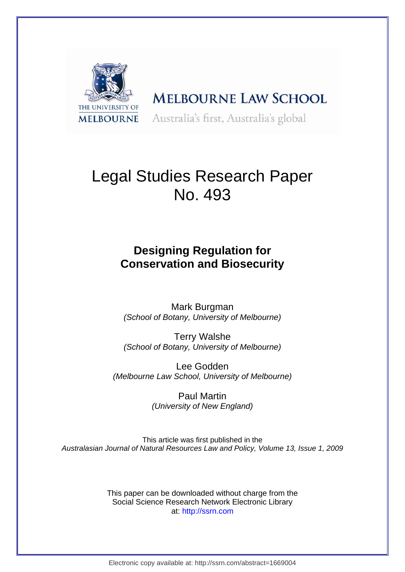

# **MELBOURNE LAW SCHOOL** Australia's first, Australia's global

# Legal Studies Research Paper No. 493

## **Designing Regulation for Conservation and Biosecurity**

Mark Burgman *(School of Botany, University of Melbourne)*

Terry Walshe *(School of Botany, University of Melbourne)* 

Lee Godden *(Melbourne Law School, University of Melbourne)* 

> Paul Martin *(University of New England)*

This article was first published in the *Australasian Journal of Natural Resources Law and Policy, Volume 13, Issue 1, 2009*

> This paper can be downloaded without charge from the Social Science Research Network Electronic Library at: http://ssrn.com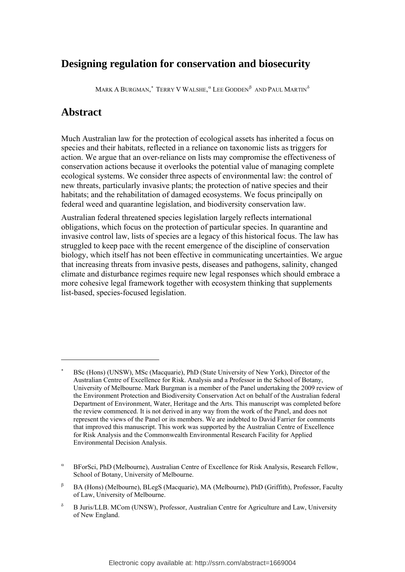### **Designing regulation for conservation and biosecurity**

Mark A Burgman, $^*$  Terry V Walshe,  $^\alpha$  Lee Godden $^\beta\,$  and Paul Martin $^\delta\,$ 

### **Abstract**

1

Much Australian law for the protection of ecological assets has inherited a focus on species and their habitats, reflected in a reliance on taxonomic lists as triggers for action. We argue that an over-reliance on lists may compromise the effectiveness of conservation actions because it overlooks the potential value of managing complete ecological systems. We consider three aspects of environmental law: the control of new threats, particularly invasive plants; the protection of native species and their habitats; and the rehabilitation of damaged ecosystems. We focus principally on federal weed and quarantine legislation, and biodiversity conservation law.

Australian federal threatened species legislation largely reflects international obligations, which focus on the protection of particular species. In quarantine and invasive control law, lists of species are a legacy of this historical focus. The law has struggled to keep pace with the recent emergence of the discipline of conservation biology, which itself has not been effective in communicating uncertainties. We argue that increasing threats from invasive pests, diseases and pathogens, salinity, changed climate and disturbance regimes require new legal responses which should embrace a more cohesive legal framework together with ecosystem thinking that supplements list-based, species-focused legislation.

<span id="page-1-0"></span><sup>∗</sup> BSc (Hons) (UNSW), MSc (Macquarie), PhD (State University of New York), Director of the Australian Centre of Excellence for Risk. Analysis and a Professor in the School of Botany, University of Melbourne. Mark Burgman is a member of the Panel undertaking the 2009 review of the Environment Protection and Biodiversity Conservation Act on behalf of the Australian federal Department of Environment, Water, Heritage and the Arts. This manuscript was completed before the review commenced. It is not derived in any way from the work of the Panel, and does not represent the views of the Panel or its members. We are indebted to David Farrier for comments that improved this manuscript. This work was supported by the Australian Centre of Excellence for Risk Analysis and the Commonwealth Environmental Research Facility for Applied Environmental Decision Analysis.

<span id="page-1-1"></span>α BForSci, PhD (Melbourne), Australian Centre of Excellence for Risk Analysis, Research Fellow, School of Botany, University of Melbourne.

<span id="page-1-2"></span>β BA (Hons) (Melbourne), BLegS (Macquarie), MA (Melbourne), PhD (Griffith), Professor, Faculty of Law, University of Melbourne.

<span id="page-1-3"></span>δ B Juris/LLB. MCom (UNSW), Professor, Australian Centre for Agriculture and Law, University of New England.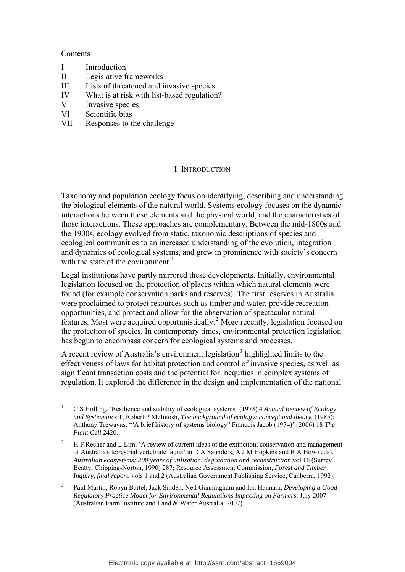#### **Contents**

1

- I Introduction
- II Legislative frameworks
- III Lists of threatened and invasive species
- IV What is at risk with list-based regulation?
- V Invasive species
- VI Scientific bias
- VII Responses to the challenge

#### I INTRODUCTION

Taxonomy and population ecology focus on identifying, describing and understanding the biological elements of the natural world. Systems ecology focuses on the dynamic interactions between these elements and the physical world, and the characteristics of those interactions. These approaches are complementary. Between the mid-1800s and the 1900s, ecology evolved from static, taxonomic descriptions of species and ecological communities to an increased understanding of the evolution, integration and dynamics of ecological systems, and grew in prominence with society's concern with the state of the environment.<sup>[1](#page-2-0)</sup>

Legal institutions have partly mirrored these developments. Initially, environmental legislation focused on the protection of places within which natural elements were found (for example conservation parks and reserves). The first reserves in Australia were proclaimed to protect resources such as timber and water, provide recreation opportunities, and protect and allow for the observation of spectacular natural features. Most were acquired opportunistically.<sup>[2](#page-2-1)</sup> More recently, legislation focused on the protection of species. In contemporary times, environmental protection legislation has begun to encompass concern for ecological systems and processes.

A recent review of Australia's environment legislation<sup>[3](#page-2-2)</sup> highlighted limits to the effectiveness of laws for habitat protection and control of invasive species, as well as significant transaction costs and the potential for inequities in complex systems of regulation. It explored the difference in the design and implementation of the national

<span id="page-2-0"></span><sup>1</sup> C S Holling, 'Resilience and stability of ecological systems' (1973) 4 *Annual Review of Ecology and Systematics* 1; Robert P McIntosh, *The background of ecology: concept and theory*. (1985); Anthony Trewavas, '"A brief history of systems biology" Francois Jacob (1974)' (2006) 18 *The Plant Cell* 2420.

<span id="page-2-1"></span><sup>2</sup> H F Recher and L Lim, 'A review of current ideas of the extinction, conservation and management of Australia's terrestrial vertebrate fauna' in D A Saunders, A J M Hopkins and R A How (eds), *Australian ecosystems: 200 years of utilisation, degradation and reconstruction* vol 16 (Surrey Beatty, Chipping-Norton, 1990) 287; Resource Assessment Commission, *Forest and Timber Inquiry, final report.* vols 1 and 2 (Australian Government Publishing Service, Canberra, 1992).

<span id="page-2-2"></span><sup>3</sup> Paul Martin, Robyn Bartel, Jack Sinden, Neil Gunningham and Ian Hannam, *Developing a Good Regulatory Practice Model for Environmental Regulations Impacting on Farmers*, July 2007 (Australian Farm Institute and Land & Water Australia, 2007).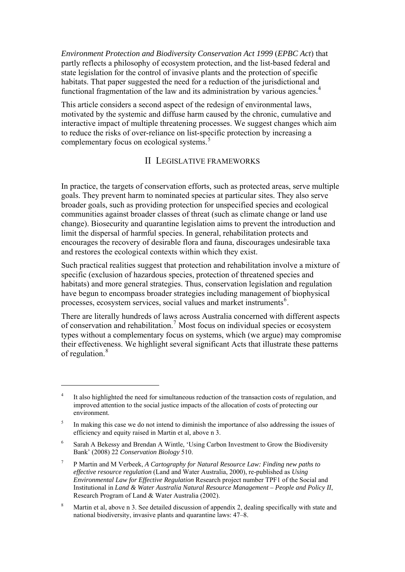*Environment Protection and Biodiversity Conservation Act 1999* (*EPBC Act*) that partly reflects a philosophy of ecosystem protection, and the list-based federal and state legislation for the control of invasive plants and the protection of specific habitats. That paper suggested the need for a reduction of the jurisdictional and functional fragmentation of the law and its administration by various agencies.<sup>[4](#page-3-0)</sup>

This article considers a second aspect of the redesign of environmental laws, motivated by the systemic and diffuse harm caused by the chronic, cumulative and interactive impact of multiple threatening processes. We suggest changes which aim to reduce the risks of over-reliance on list-specific protection by increasing a complementary focus on ecological systems.<sup>[5](#page-3-1)</sup>

#### II LEGISLATIVE FRAMEWORKS

In practice, the targets of conservation efforts, such as protected areas, serve multiple goals. They prevent harm to nominated species at particular sites. They also serve broader goals, such as providing protection for unspecified species and ecological communities against broader classes of threat (such as climate change or land use change). Biosecurity and quarantine legislation aims to prevent the introduction and limit the dispersal of harmful species. In general, rehabilitation protects and encourages the recovery of desirable flora and fauna, discourages undesirable taxa and restores the ecological contexts within which they exist.

Such practical realities suggest that protection and rehabilitation involve a mixture of specific (exclusion of hazardous species, protection of threatened species and habitats) and more general strategies. Thus, conservation legislation and regulation have begun to encompass broader strategies including management of biophysical processes, ecosystem services, social values and market instruments<sup>[6](#page-3-2)</sup>.

There are literally hundreds of laws across Australia concerned with different aspects of conservation and rehabilitation.<sup>[7](#page-3-3)</sup> Most focus on individual species or ecosystem types without a complementary focus on systems, which (we argue) may compromise their effectiveness. We highlight several significant Acts that illustrate these patterns of regulation.<sup>[8](#page-3-4)</sup>

<span id="page-3-0"></span><sup>4</sup> It also highlighted the need for simultaneous reduction of the transaction costs of regulation, and improved attention to the social justice impacts of the allocation of costs of protecting our environment.

<span id="page-3-1"></span><sup>5</sup> In making this case we do not intend to diminish the importance of also addressing the issues of efficiency and equity raised in Martin et al, above n 3.

<span id="page-3-2"></span><sup>6</sup> Sarah A Bekessy and Brendan A Wintle, 'Using Carbon Investment to Grow the Biodiversity Bank' (2008) 22 *Conservation Biology* 510.

<span id="page-3-3"></span><sup>7</sup> P Martin and M Verbeek, *A Cartography for Natural Resource Law: Finding new paths to effective resource regulation* (Land and Water Australia, 2000), re-published as *Using Environmental Law for Effective Regulation* Research project number TPF1 of the Social and Institutional in *Land & Water Australia Natural Resource Management – People and Policy II*, Research Program of Land & Water Australia (2002).

<span id="page-3-4"></span><sup>8</sup> Martin et al, above n 3. See detailed discussion of appendix 2, dealing specifically with state and national biodiversity, invasive plants and quarantine laws: 47–8.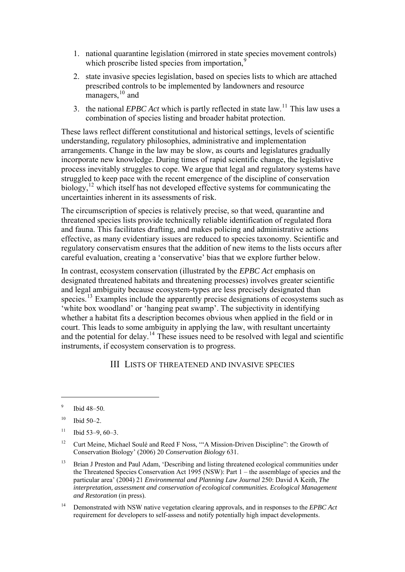- 1. national quarantine legislation (mirrored in state species movement controls) which proscribe listed species from importation.<sup>[9](#page-4-0)</sup>
- 2. state invasive species legislation, based on species lists to which are attached prescribed controls to be implemented by landowners and resource managers,  $10$  and
- 3. the national *EPBC Act* which is partly reflected in state law.[11](#page-4-2) This law uses a combination of species listing and broader habitat protection.

These laws reflect different constitutional and historical settings, levels of scientific understanding, regulatory philosophies, administrative and implementation arrangements. Change in the law may be slow, as courts and legislatures gradually incorporate new knowledge. During times of rapid scientific change, the legislative process inevitably struggles to cope. We argue that legal and regulatory systems have struggled to keep pace with the recent emergence of the discipline of conservation biology,<sup>[12](#page-4-3)</sup> which itself has not developed effective systems for communicating the uncertainties inherent in its assessments of risk.

The circumscription of species is relatively precise, so that weed, quarantine and threatened species lists provide technically reliable identification of regulated flora and fauna. This facilitates drafting, and makes policing and administrative actions effective, as many evidentiary issues are reduced to species taxonomy. Scientific and regulatory conservatism ensures that the addition of new items to the lists occurs after careful evaluation, creating a 'conservative' bias that we explore further below.

In contrast, ecosystem conservation (illustrated by the *EPBC Act* emphasis on designated threatened habitats and threatening processes) involves greater scientific and legal ambiguity because ecosystem-types are less precisely designated than species.<sup>[13](#page-4-4)</sup> Examples include the apparently precise designations of ecosystems such as 'white box woodland' or 'hanging peat swamp'. The subjectivity in identifying whether a habitat fits a description becomes obvious when applied in the field or in court. This leads to some ambiguity in applying the law, with resultant uncertainty and the potential for delay.<sup>[14](#page-4-5)</sup> These issues need to be resolved with legal and scientific instruments, if ecosystem conservation is to progress.

#### III LISTS OF THREATENED AND INVASIVE SPECIES

1

<span id="page-4-5"></span>14 Demonstrated with NSW native vegetation clearing approvals, and in responses to the *EPBC Act* requirement for developers to self-assess and notify potentially high impact developments.

<span id="page-4-0"></span><sup>9</sup> Ibid 48–50.

<span id="page-4-1"></span> $10$  Ibid 50–2.

<span id="page-4-2"></span> $11$  Ibid 53-9, 60-3.

<span id="page-4-3"></span><sup>&</sup>lt;sup>12</sup> Curt Meine, Michael Soulé and Reed F Noss, "A Mission-Driven Discipline": the Growth of Conservation Biology' (2006) 20 *Conservation Biology* 631.

<span id="page-4-4"></span><sup>&</sup>lt;sup>13</sup> Brian J Preston and Paul Adam, 'Describing and listing threatened ecological communities under the Threatened Species Conservation Act 1995 (NSW): Part 1 – the assemblage of species and the particular area' (2004) 21 *Environmental and Planning Law Journal* 250: David A Keith, *The interpretation, assessment and conservation of ecological communities. Ecological Management and Restoration* (in press).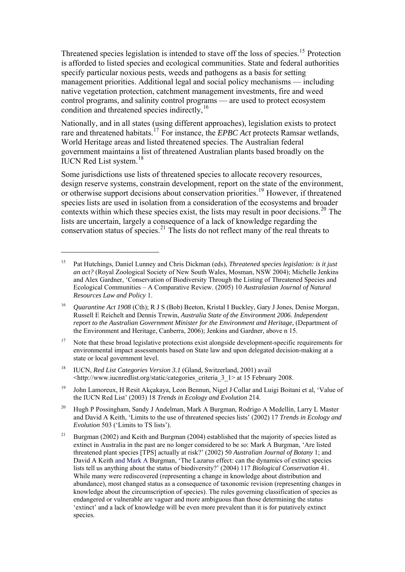Threatened species legislation is intended to stave off the loss of species.[15](#page-5-0) Protection is afforded to listed species and ecological communities. State and federal authorities specify particular noxious pests, weeds and pathogens as a basis for setting management priorities. Additional legal and social policy mechanisms — including native vegetation protection, catchment management investments, fire and weed control programs, and salinity control programs — are used to protect ecosystem condition and threatened species indirectly,[16](#page-5-1)

Nationally, and in all states (using different approaches), legislation exists to protect rare and threatened habitats.[17](#page-5-2) For instance, the *EPBC Act* protects Ramsar wetlands, World Heritage areas and listed threatened species. The Australian federal government maintains a list of threatened Australian plants based broadly on the IUCN Red List system.<sup>[18](#page-5-3)</sup>

Some jurisdictions use lists of threatened species to allocate recovery resources, design reserve systems, constrain development, report on the state of the environment, or otherwise support decisions about conservation priorities.[19](#page-5-4) However, if threatened species lists are used in isolation from a consideration of the ecosystems and broader contexts within which these species exist, the lists may result in poor decisions.<sup>[20](#page-5-5)</sup> The lists are uncertain, largely a consequence of a lack of knowledge regarding the conservation status of species.<sup>[21](#page-5-6)</sup> The lists do not reflect many of the real threats to

- <span id="page-5-2"></span><sup>17</sup> Note that these broad legislative protections exist alongside development-specific requirements for environmental impact assessments based on State law and upon delegated decision-making at a state or local government level.
- <span id="page-5-3"></span>18 IUCN, *Red List Categories Version 3.1* (Gland, Switzerland, 2001) avail <[http://www.iucnredlist.org/static/categories\\_criteria\\_3\\_1](http://www.iucnredlist.org/static/categories_criteria_3_1)> at 15 February 2008.

- <span id="page-5-4"></span><sup>19</sup> John Lamoreux, H Resit Akçakaya, Leon Bennun, Nigel J Collar and Luigi Boitani et al, 'Value of the IUCN Red List' (2003) 18 *Trends in Ecology and Evolution* 214.
- <span id="page-5-5"></span>20 Hugh P Possingham, Sandy J Andelman, Mark A Burgman, Rodrigo A Medellín, Larry L Master and David A Keith, 'Limits to the use of threatened species lists' (2002) 17 *Trends in Ecology and Evolution* 503 ('Limits to TS lists').
- <span id="page-5-6"></span><sup>21</sup> Burgman (2002) and Keith and Burgman (2004) established that the majority of species listed as extinct in Australia in the past are no longer considered to be so: Mark A Burgman, 'Are listed threatened plant species [TPS] actually at risk?' (2002) 50 *Australian Journal of Botany* 1; and David A Keith and Mark A Burgman, 'The Lazarus effect: can the dynamics of extinct species lists tell us anything about the status of biodiversity?' (2004) 117 *Biological Conservation* 41. While many were rediscovered (representing a change in knowledge about distribution and abundance), most changed status as a consequence of taxonomic revision (representing changes in knowledge about the circumscription of species). The rules governing classification of species as endangered or vulnerable are vaguer and more ambiguous than those determining the status 'extinct' and a lack of knowledge will be even more prevalent than it is for putatively extinct species.

<span id="page-5-0"></span><sup>15</sup> Pat Hutchings, Daniel Lunney and Chris Dickman (eds), *Threatened species legislation: is it just an act?* (Royal Zoological Society of New South Wales, Mosman, NSW 2004); Michelle Jenkins and Alex Gardner, 'Conservation of Biodiversity Through the Listing of Threatened Species and Ecological Communities – A Comparative Review. (2005) 10 *Australasian Journal of Natural Resources Law and Policy* 1.

<span id="page-5-1"></span><sup>16</sup> *Quarantine Act 1908* (Cth); R J S (Bob) Beeton, Kristal I Buckley, Gary J Jones, Denise Morgan, Russell E Reichelt and Dennis Trewin, *Australia State of the Environment 2006. Independent report to the Australian Government Minister for the Environment and Heritage*, (Department of the Environment and Heritage, Canberra, 2006); Jenkins and Gardner, above n 15.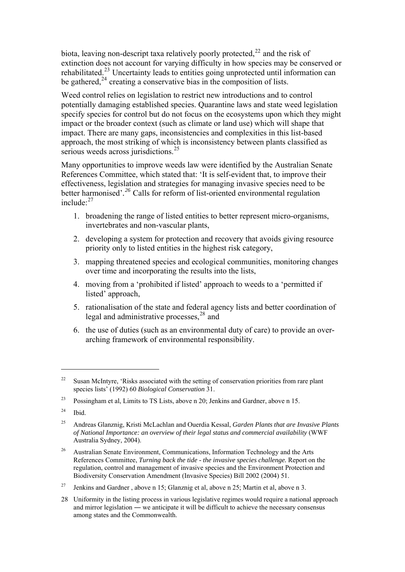biota, leaving non-descript taxa relatively poorly protected,  $^{22}$  $^{22}$  $^{22}$  and the risk of extinction does not account for varying difficulty in how species may be conserved or rehabilitated.<sup>[23](#page-6-1)</sup> Uncertainty leads to entities going unprotected until information can be gathered, $^{24}$  $^{24}$  $^{24}$  creating a conservative bias in the composition of lists.

Weed control relies on legislation to restrict new introductions and to control potentially damaging established species. Quarantine laws and state weed legislation specify species for control but do not focus on the ecosystems upon which they might impact or the broader context (such as climate or land use) which will shape that impact. There are many gaps, inconsistencies and complexities in this list-based approach, the most striking of which is inconsistency between plants classified as serious weeds across jurisdictions. $25$ 

Many opportunities to improve weeds law were identified by the Australian Senate References Committee, which stated that: 'It is self-evident that, to improve their effectiveness, legislation and strategies for managing invasive species need to be better harmonised'*. [26](#page-6-4)* Calls for reform of list-oriented environmental regulation include:[27](#page-6-5)

- 1. broadening the range of listed entities to better represent micro-organisms, invertebrates and non-vascular plants,
- 2. developing a system for protection and recovery that avoids giving resource priority only to listed entities in the highest risk category,
- 3. mapping threatened species and ecological communities, monitoring changes over time and incorporating the results into the lists,
- 4. moving from a 'prohibited if listed' approach to weeds to a 'permitted if listed' approach,
- 5. rationalisation of the state and federal agency lists and better coordination of legal and administrative processes,<sup>[28](#page-6-6)</sup> and
- 6. the use of duties (such as an environmental duty of care) to provide an overarching framework of environmental responsibility.

<span id="page-6-0"></span><sup>&</sup>lt;sup>22</sup> Susan McIntyre, 'Risks associated with the setting of conservation priorities from rare plant species lists' (1992) 60 *Biological Conservation* 31.

<span id="page-6-1"></span><sup>23</sup> Possingham et al, Limits to TS Lists, above n 20; Jenkins and Gardner, above n 15.

<span id="page-6-2"></span> $24$  Ibid.

<span id="page-6-3"></span><sup>25</sup> Andreas Glanznig, Kristi McLachlan and Ouerdia Kessal, *Garden Plants that are Invasive Plants of National Importance: an overview of their legal status and commercial availability* (WWF Australia Sydney, 2004).

<span id="page-6-4"></span><sup>&</sup>lt;sup>26</sup> Australian Senate Environment, Communications, Information Technology and the Arts References Committee, *Turning back the tide - the invasive species challenge.* Report on the regulation, control and management of invasive species and the Environment Protection and Biodiversity Conservation Amendment (Invasive Species) Bill 2002 (2004) 51.

<span id="page-6-5"></span><sup>&</sup>lt;sup>27</sup> Jenkins and Gardner, above n 15; Glanznig et al, above n 25; Martin et al, above n 3.

<span id="page-6-6"></span><sup>28</sup> Uniformity in the listing process in various legislative regimes would require a national approach and mirror legislation ― we anticipate it will be difficult to achieve the necessary consensus among states and the Commonwealth.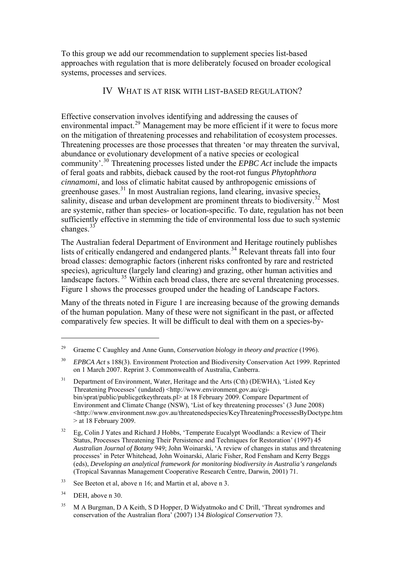To this group we add our recommendation to supplement species list-based approaches with regulation that is more deliberately focused on broader ecological systems, processes and services.

#### IV WHAT IS AT RISK WITH LIST-BASED REGULATION?

Effective conservation involves identifying and addressing the causes of environmental impact.<sup>[29](#page-7-0)</sup> Management may be more efficient if it were to focus more on the mitigation of threatening processes and rehabilitation of ecosystem processes. Threatening processes are those processes that threaten 'or may threaten the survival, abundance or evolutionary development of a native species or ecological community'.[30](#page-7-1) Threatening processes listed under the *EPBC Act* include the impacts of feral goats and rabbits, dieback caused by the root-rot fungus *Phytophthora cinnamomi*, and loss of climatic habitat caused by anthropogenic emissions of greenhouse gases.<sup>[31](#page-7-2)</sup> In most Australian regions, land clearing, invasive species, salinity, disease and urban development are prominent threats to biodiversity.<sup>[32](#page-7-3)</sup> Most are systemic, rather than species- or location-specific. To date, regulation has not been sufficiently effective in stemming the tide of environmental loss due to such systemic changes.<sup>[33](#page-7-4)</sup>

The Australian federal Department of Environment and Heritage routinely publishes lists of critically endangered and endangered plants.<sup>[34](#page-7-5)</sup> Relevant threats fall into four broad classes: demographic factors (inherent risks confronted by rare and restricted species), agriculture (largely land clearing) and grazing, other human activities and landscape factors.<sup>[35](#page-7-6)</sup> Within each broad class, there are several threatening processes. Figure 1 shows the processes grouped under the heading of Landscape Factors.

Many of the threats noted in Figure 1 are increasing because of the growing demands of the human population. Many of these were not significant in the past, or affected comparatively few species. It will be difficult to deal with them on a species-by-

<span id="page-7-4"></span>33 See Beeton et al, above n 16; and Martin et al, above n 3.

<span id="page-7-0"></span><sup>29</sup> Graeme C Caughley and Anne Gunn, *Conservation biology in theory and practice* (1996).

<span id="page-7-1"></span><sup>30</sup> *EPBCA Act* s 188(3). Environment Protection and Biodiversity Conservation Act 1999. Reprinted on 1 March 2007. Reprint 3. Commonwealth of Australia, Canberra.

<span id="page-7-2"></span><sup>&</sup>lt;sup>31</sup> Department of Environment, Water, Heritage and the Arts (Cth) (DEWHA), 'Listed Key Threatening Processes' (undated) [<http://www.environment.gov.au/cgi](http://www.environment.gov.au/cgi-bin/sprat/public/publicgetkeythreats.pl)[bin/sprat/public/publicgetkeythreats.pl](http://www.environment.gov.au/cgi-bin/sprat/public/publicgetkeythreats.pl)> at 18 February 2009. Compare Department of Environment and Climate Change (NSW), 'List of key threatening processes' (3 June 2008) <<http://www.environment.nsw.gov.au/threatenedspecies/KeyThreateningProcessesByDoctype.htm>  $>$  at 18 February 2009.

<span id="page-7-3"></span><sup>&</sup>lt;sup>32</sup> Eg, Colin J Yates and Richard J Hobbs, 'Temperate Eucalypt Woodlands: a Review of Their Status, Processes Threatening Their Persistence and Techniques for Restoration' (1997) 45 *Australian Journal of Botany* 949; John Woinarski, 'A review of changes in status and threatening processes' in Peter Whitehead, John Woinarski, Alaric Fisher, Rod Fensham and Kerry Beggs (eds), *Developing an analytical framework for monitoring biodiversity in Australia's rangelands* (Tropical Savannas Management Cooperative Research Centre, Darwin, 2001) 71.

<span id="page-7-5"></span> $34$  DEH, above n 30.

<span id="page-7-6"></span><sup>&</sup>lt;sup>35</sup> M A Burgman, D A Keith, S D Hopper, D Widyatmoko and C Drill, 'Threat syndromes and conservation of the Australian flora' (2007) 134 *Biological Conservation* 73.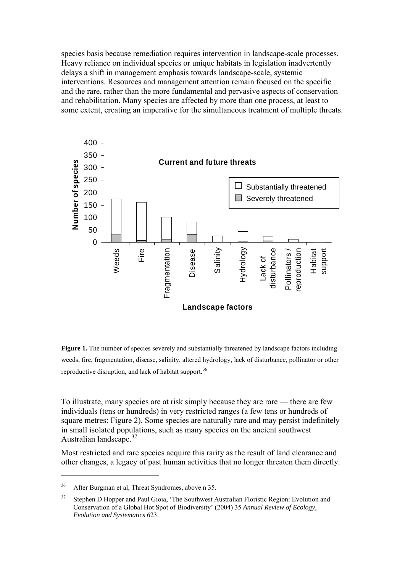species basis because remediation requires intervention in landscape-scale processes. Heavy reliance on individual species or unique habitats in legislation inadvertently delays a shift in management emphasis towards landscape-scale, systemic interventions. Resources and management attention remain focused on the specific and the rare, rather than the more fundamental and pervasive aspects of conservation and rehabilitation. Many species are affected by more than one process, at least to some extent, creating an imperative for the simultaneous treatment of multiple threats.



**Figure 1.** The number of species severely and substantially threatened by landscape factors including weeds, fire, fragmentation, disease, salinity, altered hydrology, lack of disturbance, pollinator or other reproductive disruption, and lack of habitat support.<sup>[36](#page-8-0)</sup>

To illustrate, many species are at risk simply because they are rare — there are few individuals (tens or hundreds) in very restricted ranges (a few tens or hundreds of square metres: Figure 2). Some species are naturally rare and may persist indefinitely in small isolated populations, such as many species on the ancient southwest Australian landscape.<sup>[37](#page-8-1)</sup>

Most restricted and rare species acquire this rarity as the result of land clearance and other changes, a legacy of past human activities that no longer threaten them directly.

<span id="page-8-0"></span><sup>36</sup> After Burgman et al, Threat Syndromes, above n 35.

<span id="page-8-1"></span><sup>&</sup>lt;sup>37</sup> Stephen D Hopper and Paul Gioia, 'The Southwest Australian Floristic Region: Evolution and Conservation of a Global Hot Spot of Biodiversity' (2004) 35 *Annual Review of Ecology, Evolution and Systematics* 623.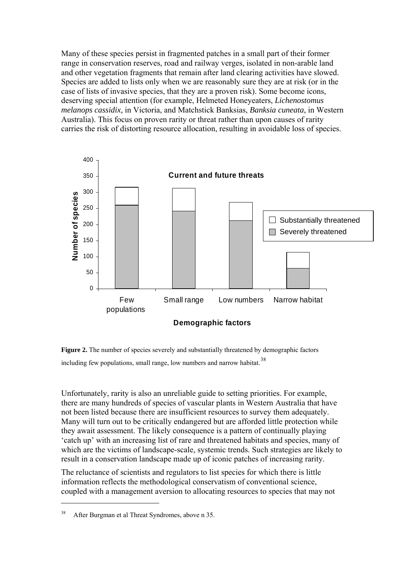Many of these species persist in fragmented patches in a small part of their former range in conservation reserves, road and railway verges, isolated in non-arable land and other vegetation fragments that remain after land clearing activities have slowed. Species are added to lists only when we are reasonably sure they are at risk (or in the case of lists of invasive species, that they are a proven risk). Some become icons, deserving special attention (for example, Helmeted Honeyeaters, *Lichenostomus melanops cassidix,* in Victoria, and Matchstick Banksias, *Banksia cuneata*, in Western Australia). This focus on proven rarity or threat rather than upon causes of rarity carries the risk of distorting resource allocation, resulting in avoidable loss of species.



**Figure 2.** The number of species severely and substantially threatened by demographic factors including few populations, small range, low numbers and narrow habitat.<sup>[38](#page-9-0)</sup>

Unfortunately, rarity is also an unreliable guide to setting priorities. For example, there are many hundreds of species of vascular plants in Western Australia that have not been listed because there are insufficient resources to survey them adequately. Many will turn out to be critically endangered but are afforded little protection while they await assessment. The likely consequence is a pattern of continually playing 'catch up' with an increasing list of rare and threatened habitats and species, many of which are the victims of landscape-scale, systemic trends. Such strategies are likely to result in a conservation landscape made up of iconic patches of increasing rarity.

The reluctance of scientists and regulators to list species for which there is little information reflects the methodological conservatism of conventional science, coupled with a management aversion to allocating resources to species that may not

<span id="page-9-0"></span><sup>38</sup> After Burgman et al Threat Syndromes, above n 35.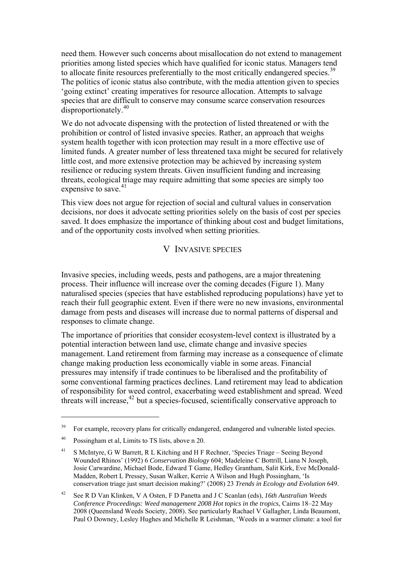need them. However such concerns about misallocation do not extend to management priorities among listed species which have qualified for iconic status. Managers tend to allocate finite resources preferentially to the most critically endangered species.<sup>[39](#page-10-0)</sup> The politics of iconic status also contribute, with the media attention given to species 'going extinct' creating imperatives for resource allocation. Attempts to salvage species that are difficult to conserve may consume scarce conservation resources disproportionately.[40](#page-10-1)

We do not advocate dispensing with the protection of listed threatened or with the prohibition or control of listed invasive species. Rather, an approach that weighs system health together with icon protection may result in a more effective use of limited funds. A greater number of less threatened taxa might be secured for relatively little cost, and more extensive protection may be achieved by increasing system resilience or reducing system threats. Given insufficient funding and increasing threats, ecological triage may require admitting that some species are simply too expensive to save.<sup>[41](#page-10-2)</sup>

This view does not argue for rejection of social and cultural values in conservation decisions, nor does it advocate setting priorities solely on the basis of cost per species saved. It does emphasize the importance of thinking about cost and budget limitations, and of the opportunity costs involved when setting priorities.

#### V INVASIVE SPECIES

Invasive species, including weeds, pests and pathogens, are a major threatening process. Their influence will increase over the coming decades (Figure 1). Many naturalised species (species that have established reproducing populations) have yet to reach their full geographic extent. Even if there were no new invasions, environmental damage from pests and diseases will increase due to normal patterns of dispersal and responses to climate change.

The importance of priorities that consider ecosystem-level context is illustrated by a potential interaction between land use, climate change and invasive species management. Land retirement from farming may increase as a consequence of climate change making production less economically viable in some areas. Financial pressures may intensify if trade continues to be liberalised and the profitability of some conventional farming practices declines. Land retirement may lead to abdication of responsibility for weed control, exacerbating weed establishment and spread. Weed threats will increase,  $42$  but a species-focused, scientifically conservative approach to

<span id="page-10-0"></span><sup>&</sup>lt;sup>39</sup> For example, recovery plans for critically endangered, endangered and vulnerable listed species.

<span id="page-10-1"></span><sup>40</sup> Possingham et al, Limits to TS lists, above n 20.

<span id="page-10-2"></span><sup>&</sup>lt;sup>41</sup> S McIntyre, G W Barrett, R L Kitching and H F Rechner, 'Species Triage – Seeing Beyond Wounded Rhinos' (1992) 6 *Conservation Biology* 604; Madeleine C Bottrill, Liana N Joseph, Josie Carwardine, Michael Bode, Edward T Game, Hedley Grantham, Salit Kirk, Eve McDonald-Madden, Robert L Pressey, Susan Walker, Kerrie A Wilson and Hugh Possingham, 'Is conservation triage just smart decision making?' (2008) 23 *Trends in Ecology and Evolution* 649.

<span id="page-10-3"></span><sup>42</sup> See R D Van Klinken, V A Osten, F D Panetta and J C Scanlan (eds), *16th Australian Weeds Conference Proceedings: Weed management 2008 Hot topics in the tropics*, Cairns 18–22 May 2008 (Queensland Weeds Society, 2008). See particularly Rachael V Gallagher, Linda Beaumont, Paul O Downey, Lesley Hughes and Michelle R Leishman, 'Weeds in a warmer climate: a tool for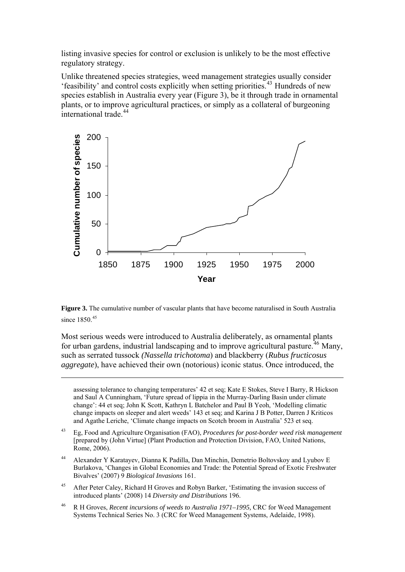listing invasive species for control or exclusion is unlikely to be the most effective regulatory strategy.

Unlike threatened species strategies, weed management strategies usually consider 'feasibility' and control costs explicitly when setting priorities.[43](#page-11-0) Hundreds of new species establish in Australia every year (Figure 3), be it through trade in ornamental plants, or to improve agricultural practices, or simply as a collateral of burgeoning international trade.[44](#page-11-1)



**Figure 3.** The cumulative number of vascular plants that have become naturalised in South Australia since 1850<sup>[45](#page-11-2)</sup>

Most serious weeds were introduced to Australia deliberately, as ornamental plants for urban gardens, industrial landscaping and to improve agricultural pasture.<sup>[46](#page-11-3)</sup> Many, such as serrated tussock *(Nassella trichotoma*) and blackberry (*Rubus fructicosus aggregate*), have achieved their own (notorious) iconic status. Once introduced, the

1

assessing tolerance to changing temperatures' 42 et seq; Kate E Stokes, Steve I Barry, R Hickson and Saul A Cunningham, 'Future spread of lippia in the Murray-Darling Basin under climate change': 44 et seq; John K Scott, Kathryn L Batchelor and Paul B Yeoh, 'Modelling climatic change impacts on sleeper and alert weeds' 143 et seq; and Karina J B Potter, Darren J Kriticos and Agathe Leriche, 'Climate change impacts on Scotch broom in Australia' 523 et seq.

- <span id="page-11-0"></span>43 Eg, Food and Agriculture Organisation (FAO), *Procedures for post-border weed risk management* [prepared by (John Virtue] (Plant Production and Protection Division, FAO, United Nations, Rome, 2006).
- <span id="page-11-1"></span>44 Alexander Y Karatayev, Dianna K Padilla, Dan Minchin, Demetrio Boltovskoy and Lyubov E Burlakova, 'Changes in Global Economies and Trade: the Potential Spread of Exotic Freshwater Bivalves' (2007) 9 *Biological Invasions* 161.
- <span id="page-11-2"></span><sup>45</sup> After Peter Caley, Richard H Groves and Robyn Barker, 'Estimating the invasion success of introduced plants' (2008) 14 *Diversity and Distributions* 196.
- <span id="page-11-3"></span>46 R H Groves, *Recent incursions of weeds to Australia 1971–1995,* CRC for Weed Management Systems Technical Series No. 3 (CRC for Weed Management Systems, Adelaide, 1998).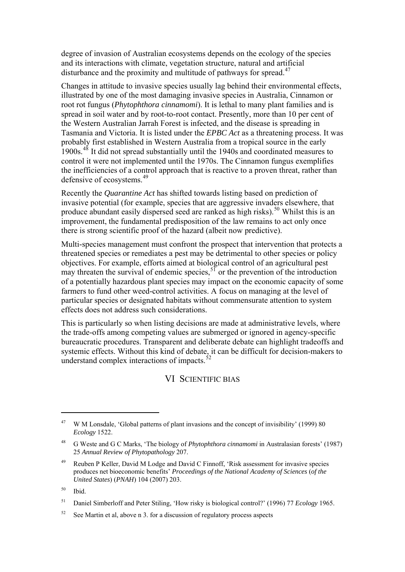degree of invasion of Australian ecosystems depends on the ecology of the species and its interactions with climate, vegetation structure, natural and artificial disturbance and the proximity and multitude of pathways for spread.<sup>[47](#page-12-0)</sup>

Changes in attitude to invasive species usually lag behind their environmental effects, illustrated by one of the most damaging invasive species in Australia, Cinnamon or root rot fungus (*Phytophthora cinnamomi*). It is lethal to many plant families and is spread in soil water and by root-to-root contact. Presently, more than 10 per cent of the Western Australian Jarrah Forest is infected, and the disease is spreading in Tasmania and Victoria. It is listed under the *EPBC Act* as a threatening process. It was probably first established in Western Australia from a tropical source in the early 1900s.[48](#page-12-1) It did not spread substantially until the 1940s and coordinated measures to control it were not implemented until the 1970s. The Cinnamon fungus exemplifies the inefficiencies of a control approach that is reactive to a proven threat, rather than defensive of ecosystems.<sup>[49](#page-12-2)</sup>

Recently the *Quarantine Act* has shifted towards listing based on prediction of invasive potential (for example, species that are aggressive invaders elsewhere, that produce abundant easily dispersed seed are ranked as high risks).<sup>[50](#page-12-3)</sup> Whilst this is an improvement, the fundamental predisposition of the law remains to act only once there is strong scientific proof of the hazard (albeit now predictive).

Multi-species management must confront the prospect that intervention that protects a threatened species or remediates a pest may be detrimental to other species or policy objectives. For example, efforts aimed at biological control of an agricultural pest may threaten the survival of endemic species,  $5\frac{5}{1}$  or the prevention of the introduction of a potentially hazardous plant species may impact on the economic capacity of some farmers to fund other weed-control activities. A focus on managing at the level of particular species or designated habitats without commensurate attention to system effects does not address such considerations.

This is particularly so when listing decisions are made at administrative levels, where the trade-offs among competing values are submerged or ignored in agency-specific bureaucratic procedures. Transparent and deliberate debate can highlight tradeoffs and systemic effects. Without this kind of debate, it can be difficult for decision-makers to understand complex interactions of impacts. $52$ 

#### VI SCIENTIFIC BIAS

<span id="page-12-0"></span><sup>&</sup>lt;sup>47</sup> W M Lonsdale, 'Global patterns of plant invasions and the concept of invisibility' (1999) 80 *Ecology* 1522.

<span id="page-12-1"></span><sup>48</sup> G Weste and G C Marks, 'The biology of *Phytophthora cinnamomi* in Australasian forests' (1987) 25 *Annual Review of Phytopathology* 207.

<span id="page-12-2"></span><sup>&</sup>lt;sup>49</sup> Reuben P Keller, David M Lodge and David C Finnoff, 'Risk assessment for invasive species produces net bioeconomic benefits' *Proceedings of the National Academy of Sciences* (*of the United States*) (*PNAH*) 104 (2007) 203.

<span id="page-12-3"></span> $50$  Ibid.

<span id="page-12-4"></span><sup>51</sup> Daniel Simberloff and Peter Stiling, 'How risky is biological control?' (1996) 77 *Ecology* 1965.

<span id="page-12-5"></span> $52$  See Martin et al, above n 3. for a discussion of regulatory process aspects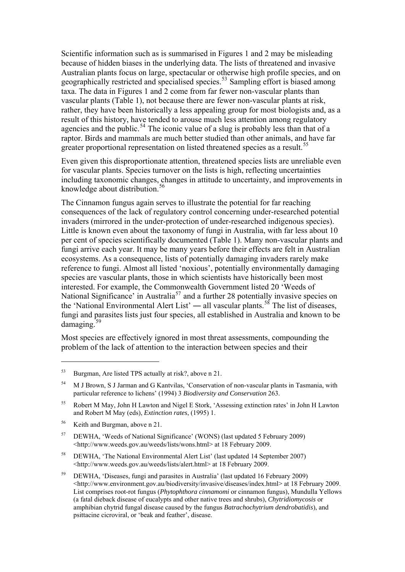Scientific information such as is summarised in Figures 1 and 2 may be misleading because of hidden biases in the underlying data. The lists of threatened and invasive Australian plants focus on large, spectacular or otherwise high profile species, and on geographically restricted and specialised species.<sup>[53](#page-13-0)</sup> Sampling effort is biased among taxa. The data in Figures 1 and 2 come from far fewer non-vascular plants than vascular plants (Table 1), not because there are fewer non-vascular plants at risk, rather, they have been historically a less appealing group for most biologists and, as a result of this history, have tended to arouse much less attention among regulatory agencies and the public.<sup>[54](#page-13-1)</sup> The iconic value of a slug is probably less than that of a raptor. Birds and mammals are much better studied than other animals, and have far greater proportional representation on listed threatened species as a result.<sup>[55](#page-13-2)</sup>

Even given this disproportionate attention, threatened species lists are unreliable even for vascular plants. Species turnover on the lists is high, reflecting uncertainties including taxonomic changes, changes in attitude to uncertainty, and improvements in knowledge about distribution.<sup>[56](#page-13-3)</sup>

The Cinnamon fungus again serves to illustrate the potential for far reaching consequences of the lack of regulatory control concerning under-researched potential invaders (mirrored in the under-protection of under-researched indigenous species). Little is known even about the taxonomy of fungi in Australia, with far less about 10 per cent of species scientifically documented (Table 1). Many non-vascular plants and fungi arrive each year. It may be many years before their effects are felt in Australian ecosystems. As a consequence, lists of potentially damaging invaders rarely make reference to fungi. Almost all listed 'noxious', potentially environmentally damaging species are vascular plants, those in which scientists have historically been most interested. For example, the Commonwealth Government listed 20 'Weeds of National Significance' in Australia<sup>[57](#page-13-4)</sup> and a further 28 potentially invasive species on the 'National Environmental Alert List' — all vascular plants.<sup>[58](#page-13-5)</sup> The list of diseases, fungi and parasites lists just four species, all established in Australia and known to be damaging.[59](#page-13-6)

Most species are effectively ignored in most threat assessments, compounding the problem of the lack of attention to the interaction between species and their

<span id="page-13-3"></span>56 Keith and Burgman, above n 21.

1

<span id="page-13-5"></span>58 DEWHA, 'The National Environmental Alert List' (last updated 14 September 2007) <http://www.weeds.gov.au/weeds/lists/alert.html> at 18 February 2009.

<span id="page-13-0"></span><sup>53</sup> Burgman, Are listed TPS actually at risk?, above n 21.

<span id="page-13-1"></span><sup>54</sup> M J Brown, S J Jarman and G Kantvilas, 'Conservation of non-vascular plants in Tasmania, with particular reference to lichens' (1994) 3 *Biodiversity and Conservation* 263.

<span id="page-13-2"></span><sup>55</sup> Robert M May, John H Lawton and Nigel E Stork, 'Assessing extinction rates' in John H Lawton and Robert M May (eds), *Extinction rates*, (1995) 1.

<span id="page-13-4"></span><sup>57</sup> DEWHA, 'Weeds of National Significance' (WONS) (last updated 5 February 2009) <<http://www.weeds.gov.au/weeds/lists/wons.html>> at 18 February 2009.

<span id="page-13-6"></span><sup>59</sup> DEWHA, 'Diseases, fungi and parasites in Australia' (last updated 16 February 2009) <[http://www.environment.gov.au/biodiversity/invasive/diseases/index.html>](http://www.environment.gov.au/biodiversity/invasive/diseases/index.html) at 18 February 2009. List comprises root-rot fungus (*Phytophthora cinnamomi* or cinnamon fungus), Mundulla Yellows (a fatal dieback disease of eucalypts and other native trees and shrubs), *Chytridiomycosis* or amphibian chytrid fungal disease caused by the fungus *Batrachochytrium dendrobatidis*), and psittacine cicroviral, or 'beak and feather', disease.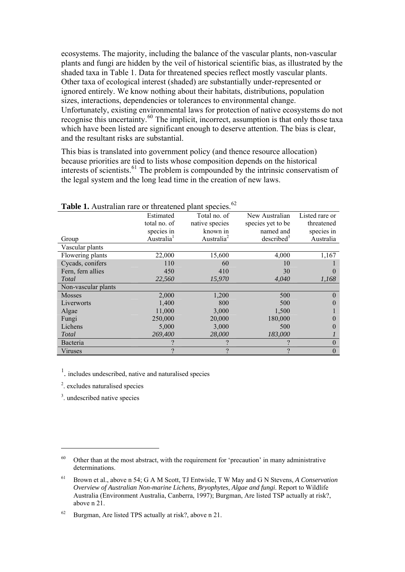ecosystems. The majority, including the balance of the vascular plants, non-vascular plants and fungi are hidden by the veil of historical scientific bias, as illustrated by the shaded taxa in Table 1. Data for threatened species reflect mostly vascular plants. Other taxa of ecological interest (shaded) are substantially under-represented or ignored entirely. We know nothing about their habitats, distributions, population sizes, interactions, dependencies or tolerances to environmental change. Unfortunately, existing environmental laws for protection of native ecosystems do not recognise this uncertainty.[60](#page-14-0) The implicit, incorrect, assumption is that only those taxa which have been listed are significant enough to deserve attention. The bias is clear, and the resultant risks are substantial.

This bias is translated into government policy (and thence resource allocation) because priorities are tied to lists whose composition depends on the historical interests of scientists.<sup>[61](#page-14-1)</sup> The problem is compounded by the intrinsic conservatism of the legal system and the long lead time in the creation of new laws.

| <b>Table 1.</b> Australian rare or infeatened plant species. |                        |                        |                        |                |
|--------------------------------------------------------------|------------------------|------------------------|------------------------|----------------|
|                                                              | Estimated              | Total no. of           | New Australian         | Listed rare or |
|                                                              | total no. of           | native species         | species yet to be      | threatened     |
|                                                              | species in             | known in               | named and              | species in     |
| Group                                                        | Australia <sup>1</sup> | Australia <sup>2</sup> | described <sup>3</sup> | Australia      |
| Vascular plants                                              |                        |                        |                        |                |
| Flowering plants                                             | 22,000                 | 15,600                 | 4,000                  | 1,167          |
| Cycads, conifers                                             | 110                    | 60                     | 10                     |                |
| Fern, fern allies                                            | 450                    | 410                    | 30                     | $\Omega$       |
| Total                                                        | 22,560                 | 15,970                 | 4,040                  | 1,168          |
| Non-vascular plants                                          |                        |                        |                        |                |
| <b>Mosses</b>                                                | 2,000                  | 1,200                  | 500                    | $\Omega$       |
| Liverworts                                                   | 1,400                  | 800                    | 500                    | $\Omega$       |
| Algae                                                        | 11,000                 | 3,000                  | 1,500                  |                |
| Fungi                                                        | 250,000                | 20,000                 | 180,000                | $\Omega$       |
| Lichens                                                      | 5,000                  | 3,000                  | 500                    | 0              |
| Total                                                        | 269,400                | 28,000                 | 183,000                |                |
| Bacteria                                                     | ?                      |                        | າ                      | $\theta$       |
| Viruses                                                      | $\mathcal{P}$          | າ                      | 9                      | $\theta$       |

**Table 1.** Australian rare or threatened plant species.[62](#page-14-2)

<sup>1</sup>. includes undescribed, native and naturalised species

2 . excludes naturalised species

3 . undescribed native species

<span id="page-14-0"></span> $60$  Other than at the most abstract, with the requirement for 'precaution' in many administrative determinations.

<span id="page-14-1"></span><sup>61</sup> Brown et al., above n 54; G A M Scott, TJ Entwisle, T W May and G N Stevens, *A Conservation Overview of Australian Non-marine Lichens, Bryophytes, Algae and fungi*. Report to Wildlife Australia (Environment Australia, Canberra, 1997); Burgman, Are listed TSP actually at risk?, above n 21.

<span id="page-14-2"></span><sup>62</sup> Burgman, Are listed TPS actually at risk?, above n 21.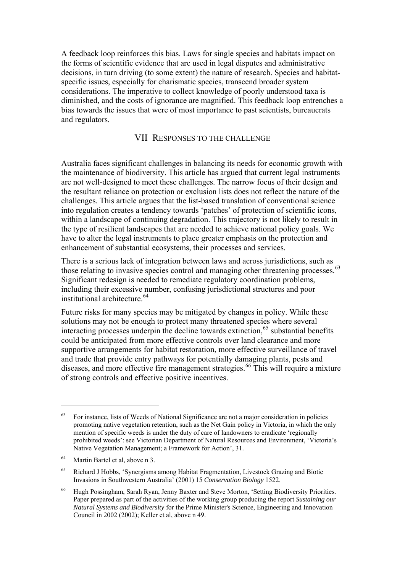A feedback loop reinforces this bias. Laws for single species and habitats impact on the forms of scientific evidence that are used in legal disputes and administrative decisions, in turn driving (to some extent) the nature of research. Species and habitatspecific issues, especially for charismatic species, transcend broader system considerations. The imperative to collect knowledge of poorly understood taxa is diminished, and the costs of ignorance are magnified. This feedback loop entrenches a bias towards the issues that were of most importance to past scientists, bureaucrats and regulators.

#### VII RESPONSES TO THE CHALLENGE

Australia faces significant challenges in balancing its needs for economic growth with the maintenance of biodiversity. This article has argued that current legal instruments are not well-designed to meet these challenges. The narrow focus of their design and the resultant reliance on protection or exclusion lists does not reflect the nature of the challenges. This article argues that the list-based translation of conventional science into regulation creates a tendency towards 'patches' of protection of scientific icons, within a landscape of continuing degradation. This trajectory is not likely to result in the type of resilient landscapes that are needed to achieve national policy goals. We have to alter the legal instruments to place greater emphasis on the protection and enhancement of substantial ecosystems, their processes and services.

There is a serious lack of integration between laws and across jurisdictions, such as those relating to invasive species control and managing other threatening processes.<sup>[63](#page-15-0)</sup> Significant redesign is needed to remediate regulatory coordination problems, including their excessive number, confusing jurisdictional structures and poor institutional architecture.<sup>[64](#page-15-1)</sup>

Future risks for many species may be mitigated by changes in policy. While these solutions may not be enough to protect many threatened species where several interacting processes underpin the decline towards extinction,[65](#page-15-2) substantial benefits could be anticipated from more effective controls over land clearance and more supportive arrangements for habitat restoration, more effective surveillance of travel and trade that provide entry pathways for potentially damaging plants, pests and diseases, and more effective fire management strategies.<sup>[66](#page-15-3)</sup> This will require a mixture of strong controls and effective positive incentives.

<span id="page-15-0"></span><sup>&</sup>lt;sup>63</sup> For instance, lists of Weeds of National Significance are not a major consideration in policies promoting native vegetation retention, such as the Net Gain policy in Victoria, in which the only mention of specific weeds is under the duty of care of landowners to eradicate 'regionally prohibited weeds': see Victorian Department of Natural Resources and Environment, 'Victoria's Native Vegetation Management; a Framework for Action', 31.

<span id="page-15-1"></span><sup>64</sup> Martin Bartel et al, above n 3.

<span id="page-15-2"></span><sup>65</sup> Richard J Hobbs, 'Synergisms among Habitat Fragmentation, Livestock Grazing and Biotic Invasions in Southwestern Australia' (2001) 15 *Conservation Biology* 1522.

<span id="page-15-3"></span><sup>66</sup> Hugh Possingham, Sarah Ryan, Jenny Baxter and Steve Morton, 'Setting Biodiversity Priorities. Paper prepared as part of the activities of the working group producing the report *Sustaining our Natural Systems and Biodiversity* for the Prime Minister's Science, Engineering and Innovation Council in 2002 (2002); Keller et al, above n 49.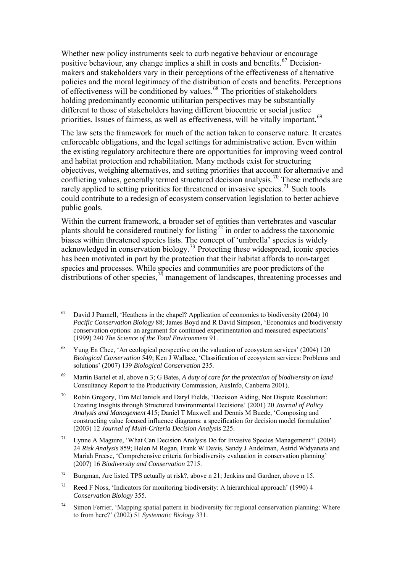Whether new policy instruments seek to curb negative behaviour or encourage positive behaviour, any change implies a shift in costs and benefits.<sup>[67](#page-16-0)</sup> Decisionmakers and stakeholders vary in their perceptions of the effectiveness of alternative policies and the moral legitimacy of the distribution of costs and benefits. Perceptions of effectiveness will be conditioned by values. $68$  The priorities of stakeholders holding predominantly economic utilitarian perspectives may be substantially different to those of stakeholders having different biocentric or social justice priorities. Issues of fairness, as well as effectiveness, will be vitally important.<sup>69</sup>

The law sets the framework for much of the action taken to conserve nature. It creates enforceable obligations, and the legal settings for administrative action. Even within the existing regulatory architecture there are opportunities for improving weed control and habitat protection and rehabilitation. Many methods exist for structuring objectives, weighing alternatives, and setting priorities that account for alternative and conflicting values, generally termed structured decision analysis.<sup>[70](#page-16-2)</sup> These methods are rarely applied to setting priorities for threatened or invasive species.<sup>[71](#page-16-3)</sup> Such tools could contribute to a redesign of ecosystem conservation legislation to better achieve public goals.

Within the current framework, a broader set of entities than vertebrates and vascular plants should be considered routinely for listing<sup>[72](#page-16-4)</sup> in order to address the taxonomic biases within threatened species lists. The concept of 'umbrella' species is widely acknowledged in conservation biology.<sup>[73](#page-16-5)</sup> Protecting these widespread, iconic species has been motivated in part by the protection that their habitat affords to non-target species and processes. While species and communities are poor predictors of the distributions of other species,  $74$  management of landscapes, threatening processes and

<u>.</u>

<span id="page-16-0"></span> $67$  David J Pannell, 'Heathens in the chapel? Application of economics to biodiversity (2004) 10 *Pacific Conservation Biology* 88; James Boyd and R David Simpson, 'Economics and biodiversity conservation options: an argument for continued experimentation and measured expectations' (1999) 240 *The Science of the Total Environment* 91.

<span id="page-16-1"></span><sup>&</sup>lt;sup>68</sup> Yung En Chee, 'An ecological perspective on the valuation of ecosystem services' (2004) 120 *Biological Conservation* 549; Ken J Wallace, 'Classification of ecosystem services: Problems and solutions' (2007) 139 *Biological Conservation* 235.

<sup>69</sup> Martin Bartel et al, above n 3; G Bates, *A duty of care for the protection of biodiversity on land*  Consultancy Report to the Productivity Commission, AusInfo, Canberra 2001).

<span id="page-16-2"></span><sup>70</sup> Robin Gregory, Tim McDaniels and Daryl Fields, 'Decision Aiding, Not Dispute Resolution: Creating Insights through Structured Environmental Decisions' (2001) 20 *Journal of Policy Analysis and Management* 415; Daniel T Maxwell and Dennis M Buede, 'Composing and constructing value focused influence diagrams: a specification for decision model formulation' (2003) 12 *Journal of Multi-Criteria Decision Analysis* 225.

<span id="page-16-3"></span><sup>&</sup>lt;sup>71</sup> Lynne A Maguire, 'What Can Decision Analysis Do for Invasive Species Management?' (2004) 24 *Risk Analysis* 859; Helen M Regan, Frank W Davis, Sandy J Andelman, Astrid Widyanata and Mariah Freese, 'Comprehensive criteria for biodiversity evaluation in conservation planning' (2007) 16 *Biodiversity and Conservation* 2715.

<span id="page-16-4"></span><sup>&</sup>lt;sup>72</sup> Burgman, Are listed TPS actually at risk?, above n 21; Jenkins and Gardner, above n 15.

<span id="page-16-5"></span><sup>&</sup>lt;sup>73</sup> Reed F Noss, 'Indicators for monitoring biodiversity: A hierarchical approach' (1990) 4 *Conservation Biology* 355.

<span id="page-16-6"></span><sup>74</sup> Simon Ferrier, 'Mapping spatial pattern in biodiversity for regional conservation planning: Where to from here?' (2002) 51 *Systematic Biology* 331.